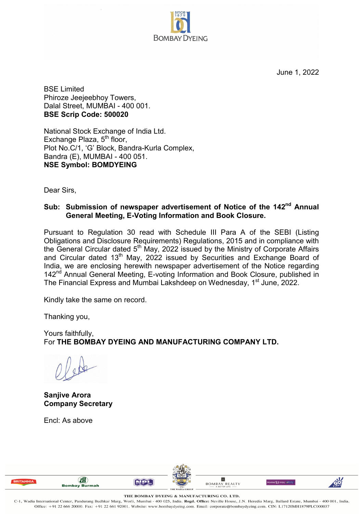June 1, 2022

**iliome {6 You Ideas** 



BSE Limited Phiroze Jeejeebhoy Towers, Dalal Street, MUMBAI - 400 001. **BSE Scrip Code: 500020**

National Stock Exchange of India Ltd. Exchange Plaza,  $5<sup>th</sup>$  floor, Plot No.C/1, 'G' Block, Bandra-Kurla Complex, Bandra (E), MUMBAI - 400 051. **NSE Symbol: BOMDYEING**

Dear Sirs,

## **Sub: Submission of newspaper advertisement of Notice of the 142nd Annual General Meeting, E-Voting Information and Book Closure.**

Pursuant to Regulation 30 read with Schedule III Para A of the SEBI (Listing Obligations and Disclosure Requirements) Regulations, 2015 and in compliance with the General Circular dated  $5<sup>th</sup>$  May, 2022 issued by the Ministry of Corporate Affairs and Circular dated 13<sup>th</sup> May, 2022 issued by Securities and Exchange Board of India, we are enclosing herewith newspaper advertisement of the Notice regarding 142<sup>nd</sup> Annual General Meeting, E-voting Information and Book Closure, published in The Financial Express and Mumbai Lakshdeep on Wednesday, 1<sup>st</sup> June, 2022.

Kindly take the same on record.

Thanking you,

Yours faithfully, For **THE BOMBAY DYEING AND MANUFACTURING COMPANY LTD.**

**Sanjive Arora Company Secretary**

Encl: As above





**THE BOMBAY DYEING** & **MANUFACTURING CO. LTD.** 

C-1, Wadia International Center, Pandurang Budhkar Marg, Worli , Mumbai - 400 025 , India. **Regd. Office:** Nevill e House, J.N. Heredia Marg, Ballard Estate, Mumbai - 400 001 , India. Office: +91 22 666 20000. Fax: +91 22 661 92001. Website: www.bombaydyeing.com. Email: corporate@bombaydyeing.com. CIN: Ll7120MH1879PLC000037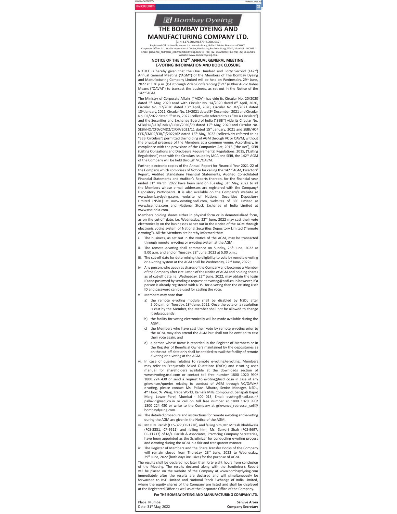

Annual General Meeting ("AGM") of the Members of The Bombay Dyeing and Manufacturing Company Limited will be held on Wednesday, 29<sup>th</sup> June, 2022 at 3.30 p.m. (IST) through Video Conferencing ("VC")/Other Audio Video Means ("OAVM") to transact the business, as set out in the Notice of the 142<sup>nd</sup> AGM.

The Ministry of Corporate Affairs ("MCA") has vide its Circular No. 20/2020 dated 5<sup>th</sup> May, 2020 read with Circular No. 14/2020 dated 8<sup>th</sup> April, 2020, Circular No. 17/2020 dated 13<sup>th</sup> April, 2020, Circular No. 02/2021 dated 13<sup>th</sup> January, 2021, Circular No. 19/2021 dated 8<sup>th</sup> December, 2021 and Circular No. 02/2022 dated 5<sup>th</sup> May, 2022 (collectively referred to as "MCA Circulars") and the Securities and Exchange Board of India ("SEBI") vide its Circular No. SEBI/HO/CED/CMD1/CIR/P/2020/79 dated 12<sup>th</sup> May, 2020 and Circular No.<br>SEBI/HO/CED/CMD1/CIR/P/2020/79 dated 12<sup>th</sup> May, 2020 and Circular No. CFD/CMD2/CIR/P/2022/62 dated 13<sup>th</sup> May, 2022 (collectively referred to as "SEBI Circulars") permitted the holding of AGM through VC or OAVM, without the physical presence of the Members at a common venue. Accordingly, in compliance with the provisions of the Companies Act, 2013 ('the Act'), SEBI (Listing Obligations and Disclosure Requirements) Regulations, 2015. ('Listing Regulations') read with the Circulars issued by MCA and SEBI, the 142<sup>nd</sup> AGM of the Company will be held through VC/OAVM.

Further, electronic copies of the Annual Report for Financial Year 2021-22 of the Company which comprises of Notice for calling the 142<sup>nd</sup> AGM, Directors' Report, Audited Standalone Financial Statements, Audited Consolidated Financial Statements and Auditor's Reports thereon, for the financial year ended 31<sup>st</sup> March, 2022 have been sent on Tuesday, 31<sup>st</sup> May, 2022 to all the Members whose e-mail addresses are registered with the Company/ Depository Participants. It is also available on the Company's website at www.bombaydyeing.com, website of National Securities Depository Limited (NSDL) at www.evoting.nsdl.com, websites of BSE Limited at www.bseindia.com and National Stock Exchange of India Limited at www.nseindia.com.

Members holding shares either in physical form or in dematerialized form, as on the cut-off date, i.e. Wednesday, 22<sup>nd</sup> June, 2022 may cast their vote electronically on the businesses as set out in the Notice of the AGM through electronic voting system of National Securities Depository Limited ("remote e-voting"). All the Members are hereby informed that:

- The business, as set out in the Notice of the AGM, may be transacted through remote e-voting or e-voting system at the AGM;
- ii. The remote e-voting shall commence on Sunday, 26<sup>th</sup> June, 2022 at 9.00 a.m. and end on Tuesday, 28<sup>th</sup> June, 2022 at 5.00 p.m.;
- iii. The cut-off date for determining the eligibility to vote by remote e-voting or e-voting system at the AGM shall be Wednesday, 22<sup>nd</sup> June, 2022;
- Any person, who acquires shares of the Company and becomes a Member iv. of the Company after circulation of the Notice of AGM and holding shares as of cut-off date i.e. Wednesday,  $22<sup>nd</sup>$  June, 2022, may obtain the login ID and password by sending a request at evoting@nsdl.co.in however, if a person is already registered with NDSL for e-voting then the existing User ID and password can be used for casting the vote;
- Members may note that: v.
	- a) the remote e-voting module shall be disabled by NSDL after 5.00 p.m. on Tuesday, 28<sup>th</sup> June, 2022. Once the vote on a resolution is cast by the Member, the Member shall not be allowed to change it subsequently:
	- b) the facility for voting electronically will be made available during the  $AGM$
	- c) the Members who have cast their vote by remote e-voting prior to the AGM, may also attend the AGM but shall not be entitled to cast their vote again: and
	- a person whose name is recorded in the Register of Members or in  $d)$ the Register of Beneficial Owners maintained by the depositories as on the cut-off date only shall be entitled to avail the facility of remote e-voting or e-voting at the AGM.
- In case of queries relating to remote e-voting/e-voting, Members may refer to Frequently Asked Questions (FAQs) and e-voting user manual for shareholders available at the downloads section of www.evoting.nsdl.com or contact toll free number 1800 1020 990/ 1800 224 430 or send a request to evoting@nsdl.co.in in case of any grievances/queries relating to conduct of AGM through VC/OAVM/ e-voting, please contact Ms. Pallavi Mhatre, Senior Manager, NSDL, 4<sup>th</sup> Floor, 'A' Wing, Trade World, Kamala Mills Compound, Senapati Bapat Marg, Lower Parel, Mumbai - 400 013, Email: evoting@nsdl.co.in/<br>pallavid@nsdl.co.in or call on toll free number at 1800 1020 990/ 1800 224 430 or write to the Company at grievance\_redressal\_cell@ bombavdveing.com.
- vii. The detailed procedure and instructions for remote e-voting and e-voting during the AGM are given in the Notice of the AGM
- viii. Mr. P. N. Parikh (FCS-327, CP-1228), and failing him, Mr. Mitesh Dhabliwala (FCS-8331, CP-9511) and failing him, Ms. Sarvari Shah (FCS-9697, CP-11717) of M/s. Parikh & Associates, Practicing Company Secretaries, have been appointed as the Scrutinizer for conducting e-voting process and e-voting during the AGM in a fair and transparent manner
- ix. The Register of Members and the Share Transfer Books of the Company will remain closed from Thursday, 23<sup>rd</sup> June, 2022 to Wednesday, 29th June, 2022 (both days inclusive) for the purpose of AGM.

The results shall be declared not later than forty eight hours from conclusion of the Meeting. The results declared along with the Scrutiniser's Report will be placed on the website of the Company at www.bombaydyeing.com immediately after the results are declared and will simultaneously be forwarded to BSE Limited and National Stock Exchange of India Limited, where the equity shares of the Company are listed and shall be displayed at the Registered Office as well as at the Corporate Office of the Company

For THE BOMBAY DYEING AND MANUFACTURING COMPANY LTD.

Place: Mumbai Date: 31st May, 2022